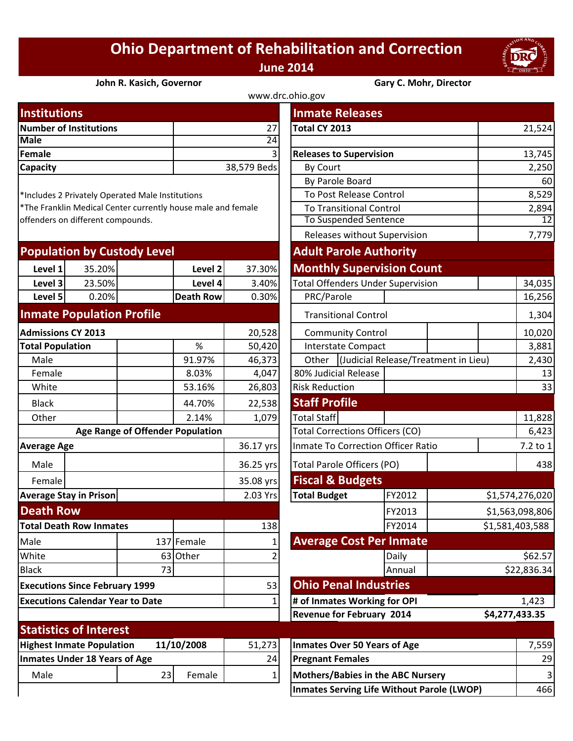## **Ohio Department of Rehabilitation and Correction June 2014**



## **John R. Kasich, Governor Gary C. Mohr, Director**

| www.drc.ohio.gov       |                |                                |        |  |  |  |
|------------------------|----------------|--------------------------------|--------|--|--|--|
| <b>Institutions</b>    |                | <b>Inmate Releases</b>         |        |  |  |  |
| Number of Institutions | 27             | Total CY 2013                  | 21,524 |  |  |  |
| <b>Male</b>            | 24             |                                |        |  |  |  |
| Female                 | 3 <sup>1</sup> | <b>Releases to Supervision</b> | 13,745 |  |  |  |
| <b>Capacity</b>        | 38,579 Beds    | <b>By Court</b>                | 2,250  |  |  |  |
|                        |                | <b>By Darolo Board</b>         | 60     |  |  |  |

| <b>Population by Custody Level</b> |         |                   |        |  | <b>Adult Parole Authority</b>     |  |
|------------------------------------|---------|-------------------|--------|--|-----------------------------------|--|
| Level 1                            | 35.20%I | Level 2           | 37.30% |  | <b>Monthly Supervision Count</b>  |  |
| Level 3                            | 23.50%  | Level 4           | 3.40%  |  | Total Offenders Under Supervision |  |
| Level 5                            | 0.20%   | <b>Death Rowl</b> | 0.30%  |  | PRC/Parole                        |  |
|                                    |         |                   |        |  |                                   |  |

## **Inmate Population Profile**

| <b>Admissions CY 2013</b>                   |                                |  |            | 20,528              |                                       | <b>Community Control</b>         |        |  |
|---------------------------------------------|--------------------------------|--|------------|---------------------|---------------------------------------|----------------------------------|--------|--|
| <b>Total Population</b>                     |                                |  | %          | 50,420              |                                       | Interstate Compact               |        |  |
| Male                                        |                                |  | 91.97%     | 46,373              | Other                                 | (Judicial Release/T              |        |  |
| Female                                      |                                |  | 8.03%      | 4,047               |                                       | 80% Judicial Release             |        |  |
| White                                       |                                |  | 53.16%     | 26,803              | <b>Risk Reduction</b>                 |                                  |        |  |
| <b>Black</b>                                |                                |  | 44.70%     | 22,538              | <b>Staff Profile</b>                  |                                  |        |  |
| Other                                       |                                |  | 2.14%      | 1,079               | <b>Total Staff</b>                    |                                  |        |  |
| <b>Age Range of Offender Population</b>     |                                |  |            |                     | <b>Total Corrections Officers (CO</b> |                                  |        |  |
| <b>Average Age</b>                          |                                |  | 36.17 yrs  |                     | Inmate To Correction Officer I        |                                  |        |  |
| Male                                        |                                |  |            | 36.25 yrs           | Total Parole Officers (PO)            |                                  |        |  |
| Female                                      |                                |  |            | 35.08 yrs           |                                       | <b>Fiscal &amp; Budgets</b>      |        |  |
| <b>Average Stay in Prison</b>               |                                |  | 2.03 Yrs   | <b>Total Budget</b> |                                       | FY2012                           |        |  |
| <b>Death Row</b>                            |                                |  |            |                     |                                       |                                  | FY2013 |  |
|                                             | <b>Total Death Row Inmates</b> |  |            | 138                 |                                       |                                  | FY2014 |  |
| Male                                        |                                |  | 137 Female |                     |                                       | <b>Average Cost Per Inma</b>     |        |  |
| White                                       |                                |  | 63 Other   |                     |                                       |                                  | Daily  |  |
| <b>Black</b><br>73                          |                                |  |            |                     |                                       | Annual                           |        |  |
| 53<br><b>Executions Since February 1999</b> |                                |  |            |                     | <b>Ohio Penal Industries</b>          |                                  |        |  |
| <b>Executions Calendar Year to Date</b>     |                                |  |            |                     | # of Inmates Working for OPI          |                                  |        |  |
|                                             |                                |  |            |                     |                                       | <b>Revenue for February 2014</b> |        |  |
|                                             | <b>Statistics of Interest</b>  |  |            |                     |                                       |                                  |        |  |

| <b>Praciscies Of The City</b>        |      |            |        |                                     |
|--------------------------------------|------|------------|--------|-------------------------------------|
| <b>Highest Inmate Population</b>     |      | 11/10/2008 | 51,273 | Inmates Over 50 Years of Age        |
| <b>Inmates Under 18 Years of Age</b> |      |            | 24     | <b>Pregnant Females</b>             |
| Male                                 | 23 I | Female     |        | Mothers/Babies in the ABC Nursery   |
|                                      |      |            |        | Inpector Coming Life Without Dovels |

| <b>Institutions</b>                                          |                                         |                  |                 | <b>Inmate Releases</b>                       |                                |  |                |                 |
|--------------------------------------------------------------|-----------------------------------------|------------------|-----------------|----------------------------------------------|--------------------------------|--|----------------|-----------------|
| <b>Number of Institutions</b>                                |                                         |                  | 27              | Total CY 2013                                |                                |  |                | 21,524          |
| <b>Male</b>                                                  |                                         |                  | $\overline{24}$ |                                              |                                |  |                |                 |
| Female                                                       |                                         |                  | 3               |                                              | <b>Releases to Supervision</b> |  |                | 13,745          |
| Capacity                                                     |                                         |                  | 38,579 Beds     | By Court                                     |                                |  |                | 2,250           |
|                                                              |                                         |                  |                 | By Parole Board                              |                                |  |                | 60              |
| *Includes 2 Privately Operated Male Institutions             |                                         |                  |                 | To Post Release Control                      |                                |  |                | 8,529           |
| *The Franklin Medical Center currently house male and female |                                         |                  |                 | <b>To Transitional Control</b>               |                                |  |                | 2,894           |
| offenders on different compounds.                            |                                         |                  |                 | To Suspended Sentence                        |                                |  |                | $\overline{12}$ |
|                                                              |                                         |                  |                 | Releases without Supervision                 |                                |  |                | 7,779           |
| <b>Population by Custody Level</b>                           |                                         |                  |                 | <b>Adult Parole Authority</b>                |                                |  |                |                 |
| 35.20%<br>Level 1                                            |                                         | Level 2          | 37.30%          | <b>Monthly Supervision Count</b>             |                                |  |                |                 |
| 23.50%<br>Level 3                                            |                                         | Level 4          | 3.40%           | <b>Total Offenders Under Supervision</b>     |                                |  |                | 34,035          |
| Level 5<br>0.20%                                             |                                         | <b>Death Row</b> | 0.30%           | PRC/Parole                                   |                                |  |                | 16,256          |
| <b>Inmate Population Profile</b>                             |                                         |                  |                 | <b>Transitional Control</b>                  |                                |  |                | 1,304           |
| <b>Admissions CY 2013</b>                                    |                                         |                  | 20,528          | <b>Community Control</b>                     |                                |  |                | 10,020          |
| <b>Total Population</b>                                      |                                         | %                | 50,420          | Interstate Compact                           |                                |  |                | 3,881           |
| Male                                                         |                                         | 91.97%           | 46,373          | Other   (Judicial Release/Treatment in Lieu) |                                |  |                | 2,430           |
| Female                                                       |                                         | 8.03%            | 4,047           | 80% Judicial Release                         |                                |  |                | 13              |
| White                                                        |                                         | 53.16%           | 26,803          | <b>Risk Reduction</b>                        |                                |  |                | 33              |
| <b>Black</b>                                                 |                                         | 44.70%           | 22,538          | <b>Staff Profile</b>                         |                                |  |                |                 |
| Other                                                        |                                         | 2.14%            | 1,079           | <b>Total Staff</b>                           |                                |  |                | 11,828          |
|                                                              | <b>Age Range of Offender Population</b> |                  |                 | <b>Total Corrections Officers (CO)</b>       |                                |  |                | 6,423           |
| <b>Average Age</b>                                           |                                         |                  | 36.17 yrs       | Inmate To Correction Officer Ratio           |                                |  |                | 7.2 to 1        |
| Male                                                         |                                         |                  | 36.25 yrs       | <b>Total Parole Officers (PO)</b>            |                                |  |                | 438             |
| Female                                                       |                                         |                  | 35.08 yrs       | <b>Fiscal &amp; Budgets</b>                  |                                |  |                |                 |
| <b>Average Stay in Prison</b>                                |                                         |                  | 2.03 Yrs        | <b>Total Budget</b>                          | FY2012                         |  |                | \$1,574,276,020 |
| <b>Death Row</b>                                             |                                         |                  |                 |                                              | FY2013                         |  |                | \$1,563,098,806 |
| <b>Total Death Row Inmates</b>                               |                                         |                  | 138             |                                              | FY2014                         |  |                | \$1,581,403,588 |
| Male                                                         |                                         | 137 Female       |                 | <b>Average Cost Per Inmate</b>               |                                |  |                |                 |
| White                                                        |                                         | 63 Other         | 2               |                                              | Daily                          |  |                | \$62.57         |
| <b>Black</b>                                                 | 73                                      |                  |                 |                                              | Annual                         |  |                | \$22,836.34     |
| <b>Executions Since February 1999</b>                        |                                         |                  | 53              | <b>Ohio Penal Industries</b>                 |                                |  |                |                 |
| <b>Executions Calendar Year to Date</b>                      |                                         |                  |                 | # of Inmates Working for OPI                 |                                |  |                | 1,423           |
|                                                              |                                         |                  |                 | <b>Revenue for February 2014</b>             |                                |  | \$4,277,433.35 |                 |

| 1/10/2008<br>51,273 |        |                 | <b>Inmates Over 50 Years of Age</b>        | .5591 |
|---------------------|--------|-----------------|--------------------------------------------|-------|
|                     |        | 24 <sub>l</sub> | <b>Pregnant Females</b>                    | 29I   |
| 23                  | Female |                 | Mothers/Babies in the ABC Nursery          |       |
|                     |        |                 | Inmates Serving Life Without Parole (LWOP) | 466I  |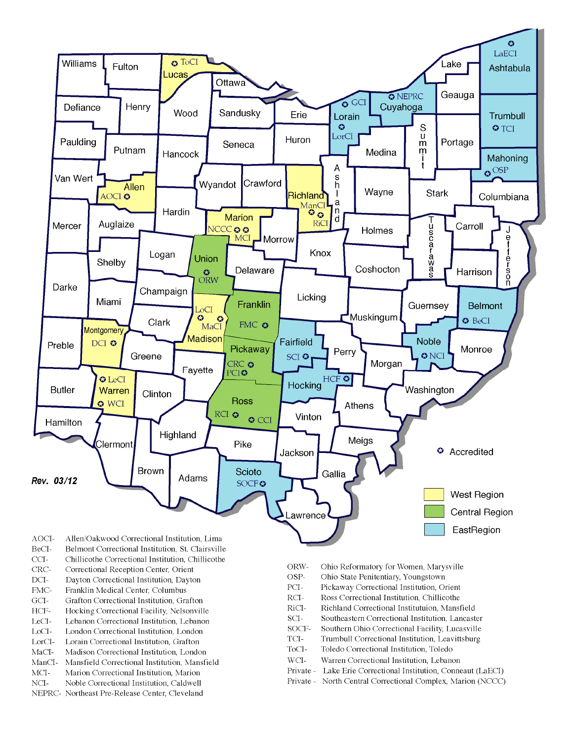

- BeCI-Belmont Correctional Institution, St. Clairsville
- $CCI-$ Chillicothe Correctional Institution, Chillicothe
- Correctional Reception Center, Orient CRC-
- $DCI-$ Dayton Correctional Institution, Dayton
- FMC-Franklin Medical Center, Columbus
- $\rm{GCI}\mbox{-}$ Grafton Correctional Institution, Grafton
- HCF-Hocking Correctional Facility, Nelsonville
- LeCI-Lebanon Correctional Institution, Lebanon
- LoCI-London Correctional Institution. London
- $\operatorname{LorCl-}$ Lorain Correctional Institution, Grafton
- $MaCI-$ Madison Correctional Institution, London
- ManCI-Mansfield Correctional Institution, Mansfield MCI-Marion Correctional Institution, Marion
- Noble Correctional Institution, Caldwell
- NCI-NEPRC- Northeast Pre-Release Center, Cleveland
- ORW-Ohio Reformatory for Women, Marysville
- OSP-Ohio State Penitentiary, Youngstown
- PCI-Pickaway Correctional Institution, Orient
- $\rm RCI-$ Ross Correctional Institution, Chillicothe
- RiCI-Richland Correctional Institutuion, Mansfield
- SCI-Southeastern Correctional Institution, Lancaster
- SOCF-Southern Ohio Correctional Facility, Lucasville
- TCI-Trumbull Correctional Institution, Leavittsburg
- ToCI-Toledo Correctional Institution, Toledo
- $WCI-$ Warren Correctional Institution, Lebanon
- Private Lake Erie Correctional Institution, Conneaut (LaECI)
- Private North Central Correctional Complex, Marion (NCCC)